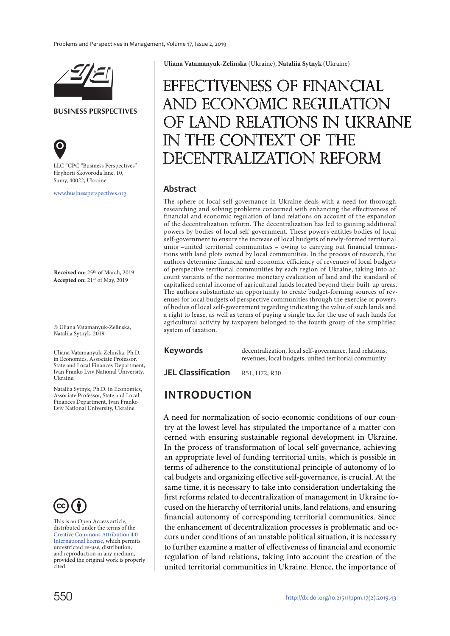

**BUSINESS PERSPECTIVES**



LLC "СPС "Business Perspectives" Hryhorii Skovoroda lane, 10, Sumy, 40022, Ukraine

[www.businessperspectives.org](http://www.businessperspectives.org)

**Received on:** 25th of March, 2019 **Accepted on:** 21st of May, 2019

© Uliana Vatamanyuk-Zelinska, Nataliia Sytnyk, 2019

Uliana Vatamanyuk-Zelinska, Ph.D. in Economics, Associate Professor, State and Local Finances Department, Ivan Franko Lviv National University, Ukraine.

Nataliia Sytnyk, Ph.D. in Economics, Associate Professor, State and Local Finances Department, Ivan Franko Lviv National University, Ukraine.



This is an Open Access article, distributed under the terms of the [Creative Commons Attribution 4.0](https://creativecommons.org/licenses/by/4.0/)  [International license](https://creativecommons.org/licenses/by/4.0/), which permits unrestricted re-use, distribution, and reproduction in any medium, provided the original work is properly cited.

**Uliana Vatamanyuk-Zelinska** (Ukraine), **Nataliia Sytnyk** (Ukraine)

# Effectiveness of financial and economic regulation LAND RELATIONS IN UKRAINE THE CONTEXT OF THE CENTRALIZATION REFORM

#### **Abstract**

The sphere of local self-governance in Ukraine deals with a need for thorough researching and solving problems concerned with enhancing the effectiveness of financial and economic regulation of land relations on account of the expansion of the decentralization reform. The decentralization has led to gaining additional powers by bodies of local self-government. These powers entitles bodies of local self-government to ensure the increase of local budgets of newly-formed territorial units –united territorial communities – owing to carrying out financial transactions with land plots owned by local communities. In the process of research, the authors determine financial and economic efficiency of revenues of local budgets of perspective territorial communities by each region of Ukraine, taking into account variants of the normative monetary evaluation of land and the standard of capitalized rental income of agricultural lands located beyond their built-up areas. The authors substantiate an opportunity to create budget-forming sources of revenues for local budgets of perspective communities through the exercise of powers of bodies of local self-government regarding indicating the value of such lands and a right to lease, as well as terms of paying a single tax for the use of such lands for agricultural activity by taxpayers belonged to the fourth group of the simplified system of taxation.

#### **Keywords**

decentralization, local self-governance, land relations, revenues, local budgets, united territorial community

**JEL Classification** R51, H72, R30

#### **INTRODUCTION**

A need for normalization of socio-economic conditions of our country at the lowest level has stipulated the importance of a matter concerned with ensuring sustainable regional development in Ukraine. In the process of transformation of local self-governance, achieving an appropriate level of funding territorial units, which is possible in terms of adherence to the constitutional principle of autonomy of local budgets and organizing effective self-governance, is crucial. At the same time, it is necessary to take into consideration undertaking the first reforms related to decentralization of management in Ukraine focused on the hierarchy of territorial units, land relations, and ensuring financial autonomy of corresponding territorial communities. Since the enhancement of decentralization processes is problematic and occurs under conditions of an unstable political situation, it is necessary to further examine a matter of effectiveness of financial and economic regulation of land relations, taking into account the creation of the united territorial communities in Ukraine. Hence, the importance of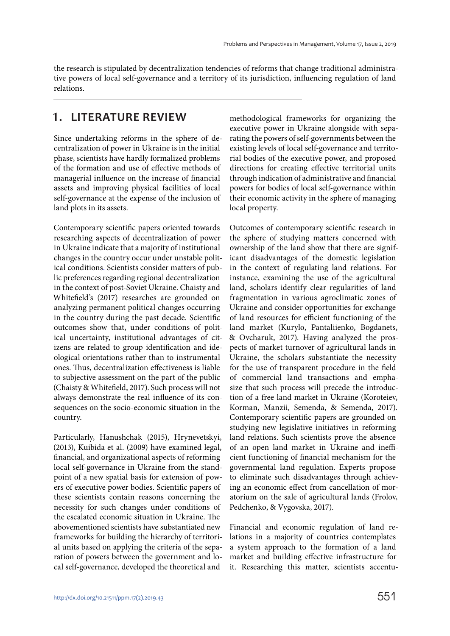the research is stipulated by decentralization tendencies of reforms that change traditional administrative powers of local self-governance and a territory of its jurisdiction, influencing regulation of land relations.

#### **1. LITERATURE REVIEW**

Since undertaking reforms in the sphere of decentralization of power in Ukraine is in the initial phase, scientists have hardly formalized problems of the formation and use of effective methods of managerial influence on the increase of financial assets and improving physical facilities of local self-governance at the expense of the inclusion of land plots in its assets.

Contemporary scientific papers oriented towards researching aspects of decentralization of power in Ukraine indicate that a majority of institutional changes in the country occur under unstable political conditions. Scientists consider matters of public preferences regarding regional decentralization in the context of post-Soviet Ukraine. Chaisty and Whitefield's (2017) researches are grounded on analyzing permanent political changes occurring in the country during the past decade. Scientific outcomes show that, under conditions of political uncertainty, institutional advantages of citizens are related to group identification and ideological orientations rather than to instrumental ones. Thus, decentralization effectiveness is liable to subjective assessment on the part of the public (Chaisty & Whitefield, 2017). Such process will not always demonstrate the real influence of its consequences on the socio-economic situation in the country.

Particularly, Hanushchak (2015), Hrynevetskyi, (2013), Kuibida et al. (2009) have examined legal, financial, and organizational aspects of reforming local self-governance in Ukraine from the standpoint of a new spatial basis for extension of powers of executive power bodies. Scientific papers of these scientists contain reasons concerning the necessity for such changes under conditions of the escalated economic situation in Ukraine. The abovementioned scientists have substantiated new frameworks for building the hierarchy of territorial units based on applying the criteria of the separation of powers between the government and local self-governance, developed the theoretical and

methodological frameworks for organizing the executive power in Ukraine alongside with separating the powers of self-governments between the existing levels of local self-governance and territorial bodies of the executive power, and proposed directions for creating effective territorial units through indication of administrative and financial powers for bodies of local self-governance within their economic activity in the sphere of managing local property.

Outcomes of contemporary scientific research in the sphere of studying matters concerned with ownership of the land show that there are significant disadvantages of the domestic legislation in the context of regulating land relations. For instance, examining the use of the agricultural land, scholars identify clear regularities of land fragmentation in various agroclimatic zones of Ukraine and consider opportunities for exchange of land resources for efficient functioning of the land market (Kurylo, Pantaliienko, Bogdanets, & Ovcharuk, 2017). Having analyzed the prospects of market turnover of agricultural lands in Ukraine, the scholars substantiate the necessity for the use of transparent procedure in the field of commercial land transactions and emphasize that such process will precede the introduction of a free land market in Ukraine (Koroteiev, Korman, Manzii, Semenda, & Semenda, 2017). Contemporary scientific papers are grounded on studying new legislative initiatives in reforming land relations. Such scientists prove the absence of an open land market in Ukraine and inefficient functioning of financial mechanism for the governmental land regulation. Experts propose to eliminate such disadvantages through achieving an economic effect from cancellation of moratorium on the sale of agricultural lands (Frolov, Pedchenko, & Vygovska, 2017).

Financial and economic regulation of land relations in a majority of countries contemplates a system approach to the formation of a land market and building effective infrastructure for it. Researching this matter, scientists accentu-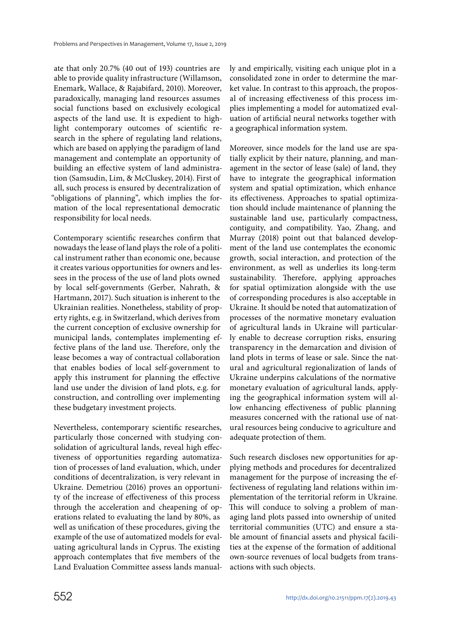ate that only 20.7% (40 out of 193) countries are able to provide quality infrastructure (Willamson, Enemark, Wallace, & Rajabifard, 2010). Moreover, paradoxically, managing land resources assumes social functions based on exclusively ecological aspects of the land use. It is expedient to highlight contemporary outcomes of scientific research in the sphere of regulating land relations, which are based on applying the paradigm of land management and contemplate an opportunity of building an effective system of land administration (Samsudin, Lim, & McCluskey, 2014). First of all, such process is ensured by decentralization of "obligations of planning", which implies the formation of the local representational democratic responsibility for local needs.

Contemporary scientific researches confirm that nowadays the lease of land plays the role of a political instrument rather than economic one, because it creates various opportunities for owners and lessees in the process of the use of land plots owned by local self-governments (Gerber, Nahrath, & Hartmann, 2017). Such situation is inherent to the Ukrainian realities. Nonetheless, stability of property rights, e.g. in Switzerland, which derives from the current conception of exclusive ownership for municipal lands, contemplates implementing effective plans of the land use. Therefore, only the lease becomes a way of contractual collaboration that enables bodies of local self-government to apply this instrument for planning the effective land use under the division of land plots, e.g. for construction, and controlling over implementing these budgetary investment projects.

Nevertheless, contemporary scientific researches, particularly those concerned with studying consolidation of agricultural lands, reveal high effectiveness of opportunities regarding automatization of processes of land evaluation, which, under conditions of decentralization, is very relevant in Ukraine. [Demetriou](https://journals.sagepub.com/action/doSearch?AllField=selling+the+land&content=articlesChapters&target=default&queryID=38%2F339126488&AfterYear=2016&BeforeYear=2019) (2016) proves an opportunity of the increase of effectiveness of this process through the acceleration and cheapening of operations related to evaluating the land by 80%, as well as unification of these procedures, giving the example of the use of automatized models for evaluating agricultural lands in Cyprus. The existing approach contemplates that five members of the Land Evaluation Committee assess lands manually and empirically, visiting each unique plot in a consolidated zone in order to determine the market value. In contrast to this approach, the proposal of increasing effectiveness of this process implies implementing a model for automatized evaluation of artificial neural networks together with a geographical information system.

Moreover, since models for the land use are spatially explicit by their nature, planning, and management in the sector of lease (sale) of land, they have to integrate the geographical information system and spatial optimization, which enhance its effectiveness. Approaches to spatial optimization should include maintenance of planning the sustainable land use, particularly compactness, contiguity, and compatibility. Yao, Zhang, and Murray (2018) point out that balanced development of the land use contemplates the economic growth, social interaction, and protection of the environment, as well as underlies its long-term sustainability. Therefore, applying approaches for spatial optimization alongside with the use of corresponding procedures is also acceptable in Ukraine. It should be noted that automatization of processes of the normative monetary evaluation of agricultural lands in Ukraine will particularly enable to decrease corruption risks, ensuring transparency in the demarcation and division of land plots in terms of lease or sale. Since the natural and agricultural regionalization of lands of Ukraine underpins calculations of the normative monetary evaluation of agricultural lands, applying the geographical information system will allow enhancing effectiveness of public planning measures concerned with the rational use of natural resources being conducive to agriculture and adequate protection of them.

Such research discloses new opportunities for applying methods and procedures for decentralized management for the purpose of increasing the effectiveness of regulating land relations within implementation of the territorial reform in Ukraine. This will conduce to solving a problem of managing land plots passed into ownership of united territorial communities (UТС) and ensure a stable amount of financial assets and physical facilities at the expense of the formation of additional own-source revenues of local budgets from transactions with such objects.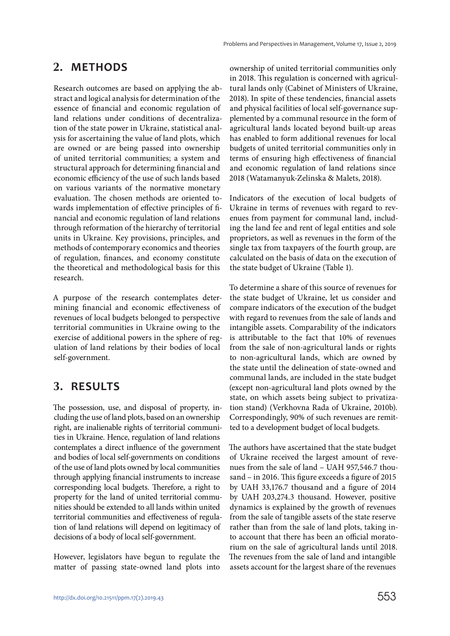# **2. METHODS**

Research outcomes are based on applying the abstract and logical analysis for determination of the essence of financial and economic regulation of land relations under conditions of decentralization of the state power in Ukraine, statistical analysis for ascertaining the value of land plots, which are owned or are being passed into ownership of united territorial communities; a system and structural approach for determining financial and economic efficiency of the use of such lands based on various variants of the normative monetary evaluation. The chosen methods are oriented towards implementation of effective principles of financial and economic regulation of land relations through reformation of the hierarchy of territorial units in Ukraine. Key provisions, principles, and methods of contemporary economics and theories of regulation, finances, and economy constitute the theoretical and methodological basis for this research.

A purpose of the research contemplates determining financial and economic effectiveness of revenues of local budgets belonged to perspective territorial communities in Ukraine owing to the exercise of additional powers in the sphere of regulation of land relations by their bodies of local self-government.

## **3. RESULTS**

The possession, use, and disposal of property, including the use of land plots, based on an ownership right, are inalienable rights of territorial communities in Ukraine. Hence, regulation of land relations contemplates a direct influence of the government and bodies of local self-governments on conditions of the use of land plots owned by local communities through applying financial instruments to increase corresponding local budgets. Therefore, a right to property for the land of united territorial communities should be extended to all lands within united territorial communities and effectiveness of regulation of land relations will depend on legitimacy of decisions of a body of local self-government.

However, legislators have begun to regulate the matter of passing state-owned land plots into ownership of united territorial communities only in 2018. This regulation is concerned with agricultural lands only (Cabinet of Ministers of Ukraine, 2018). In spite of these tendencies, financial assets and physical facilities of local self-governance supplemented by a communal resource in the form of agricultural lands located beyond built-up areas has enabled to form additional revenues for local budgets of united territorial communities only in terms of ensuring high effectiveness of financial and economic regulation of land relations since 2018 (Watamanyuk-Zelinska & Malets, 2018).

Indicators of the execution of local budgets of Ukraine in terms of revenues with regard to revenues from payment for communal land, including the land fee and rent of legal entities and sole proprietors, as well as revenues in the form of the single tax from taxpayers of the fourth group, are calculated on the basis of data on the execution of the state budget of Ukraine (Table 1).

To determine a share of this source of revenues for the state budget of Ukraine, let us consider and compare indicators of the execution of the budget with regard to revenues from the sale of lands and intangible assets. Comparability of the indicators is attributable to the fact that 10% of revenues from the sale of non-agricultural lands or rights to non-agricultural lands, which are owned by the state until the delineation of state-owned and communal lands, are included in the state budget (except non-agricultural land plots owned by the state, on which assets being subject to privatization stand) (Verkhovna Rada of Ukraine, 2010b). Correspondingly, 90% of such revenues are remitted to a development budget of local budgets.

The authors have ascertained that the state budget of Ukraine received the largest amount of revenues from the sale of land – UAH 957,546.7 thousand – in 2016. This figure exceeds a figure of 2015 by UAH 33,176.7 thousand and a figure of 2014 by UAH 203,274.3 thousand. However, positive dynamics is explained by the growth of revenues from the sale of tangible assets of the state reserve rather than from the sale of land plots, taking into account that there has been an official moratorium on the sale of agricultural lands until 2018. The revenues from the sale of land and intangible assets account for the largest share of the revenues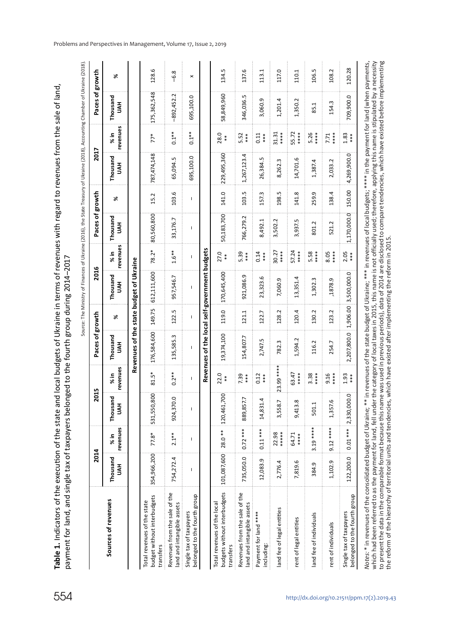**Table 1.** Indicators of the execution of the state and local budgets of Ukraine in terms of revenues with regard to revenues from the sale of land, Table 1. Indicators of the execution of the state and local budgets of Ukraine in terms of revenues with regard to revenues from the sale of land, payment for land, and single tax of taxpayers belonged to the fourth group during 2014–2017 payment for land, and single tax of taxpayers belonged to the fourth group during 2014-2017

|                                                                          | 2014                                   |                 | ន                                                | 5                | Paces of growth                               |        | 2016                             |                                                                                                                                                                                                                                                                                                                                                                                  | Paces of growth |           | 2017            |                  | Paces of growth |                |
|--------------------------------------------------------------------------|----------------------------------------|-----------------|--------------------------------------------------|------------------|-----------------------------------------------|--------|----------------------------------|----------------------------------------------------------------------------------------------------------------------------------------------------------------------------------------------------------------------------------------------------------------------------------------------------------------------------------------------------------------------------------|-----------------|-----------|-----------------|------------------|-----------------|----------------|
| Sources of revenues                                                      | Thousand<br>HAH                        | revenues<br>%in | Thousand<br>HN                                   | revenues<br>% in | Thousand<br>HVN                               | ৯      | Thousand<br>HN                   | revenues<br>%in                                                                                                                                                                                                                                                                                                                                                                  | Thousand<br>HVN | ৯         | Thousand<br>HVN | revenues<br>% in | Thousand<br>HAH | ≫              |
|                                                                          |                                        |                 |                                                  |                  | Revenues of the state budget of Ukraine       |        |                                  |                                                                                                                                                                                                                                                                                                                                                                                  |                 |           |                 |                  |                 |                |
| budget without interbudgets<br>Total revenues of the state<br>transfers  | 354,966,200                            | 77.8*           | 531,550,800                                      | 81.5*            | 176,584,600                                   | 149.75 | 612,111,600                      | 78.2*                                                                                                                                                                                                                                                                                                                                                                            | 80,560,800      | 15.2      | 787,474,148     | $77*$            | 175,362,548     | 128.6          |
| Revenues from the sale of the<br>land and intangible assets              | 754,272.4                              | $2.1***$        | 924,370.0                                        | $0.2***$         | 135,585.3                                     | 122.5  | 957,546.7                        | $1.6**$                                                                                                                                                                                                                                                                                                                                                                          | 33,176.7        | 103.6     | 65,094.5        | $0.1***$         | $-892,452.2$    | $-6.8$         |
| belonged to the fourth group<br>Single tax of taxpayers                  | I                                      | I               | I                                                | T                | $\mathsf{I}$                                  | I      | Ť                                | $\begin{array}{c} \rule{0pt}{2.5ex} \rule{0pt}{2.5ex} \rule{0pt}{2.5ex} \rule{0pt}{2.5ex} \rule{0pt}{2.5ex} \rule{0pt}{2.5ex} \rule{0pt}{2.5ex} \rule{0pt}{2.5ex} \rule{0pt}{2.5ex} \rule{0pt}{2.5ex} \rule{0pt}{2.5ex} \rule{0pt}{2.5ex} \rule{0pt}{2.5ex} \rule{0pt}{2.5ex} \rule{0pt}{2.5ex} \rule{0pt}{2.5ex} \rule{0pt}{2.5ex} \rule{0pt}{2.5ex} \rule{0pt}{2.5ex} \rule{0$ | T               | T         | 695,100.0       | $0.1***$         | 695,100.0       | $\pmb{\times}$ |
|                                                                          |                                        |                 |                                                  |                  | Revenues of the local self-government budgets |        |                                  |                                                                                                                                                                                                                                                                                                                                                                                  |                 |           |                 |                  |                 |                |
| budgets without interbudgets<br>Total revenues of the local<br>transfers | $ 101,087,600 $ 28.0 ** $ 120,461,700$ |                 |                                                  | 22.0<br>$*$      | 19,374,100                                    | 119.0  | 170,645,400                      | 27.0<br>$*$                                                                                                                                                                                                                                                                                                                                                                      | 50,183,700      | 141.0     | 229,495,360     | 28.0<br>$* *$    | 58,849,960      | 134.5          |
| Revenues from the sale of the<br>land and intangible assets              | 735,050.0                              | $0.72***$       | 889,857.7                                        | 7.39<br>$***$    | 54,807.7                                      | 121.1  | 921,086.9                        | 5.39<br>$***$                                                                                                                                                                                                                                                                                                                                                                    | 766,279.2       | 103.5     | 1,267,123.4     | 5.52<br>***      | 346,036.5       | 137.6          |
| Payment for land ****<br>including:                                      | 12,083.9                               | $0.11***$       | 14,831.4                                         | 0.12<br>***      | 2,747.5                                       | 122.7  | 23,323.6                         | 0.14<br>$***$                                                                                                                                                                                                                                                                                                                                                                    | 8,492.1         | 157.3     | 26,384.5        | 0.11<br>***      | 3,060.9         | 113.1          |
| land fee of legal entities                                               | 2,776.4                                | ******<br>22.98 | 3,558.7                                          | 23.99 ***        | 782.3                                         | 128.2  | 7,060.9                          | 30.27<br>****                                                                                                                                                                                                                                                                                                                                                                    | 3,502.2         | ب<br>198. | m<br>8,262.3    | ****<br>31.31    | 1,201.4         | 117.0          |
| rent of legal entities                                                   | 7,819.6                                | 64.71<br>****   | 9,413.8                                          | *****<br>63.47   | 1,594.2                                       | 120.4  | 13,351.4                         | 57.24<br>****                                                                                                                                                                                                                                                                                                                                                                    | 3,937.5         | 141.8     | 14,701.6        | 55.72<br>****    | 1,350.2         | 110.1          |
| land fee of individuals                                                  | 384.9                                  | 3.19 ****       | 501.1                                            | $***$<br>3.38    | 116.2                                         | 130.2  | 1,302.3                          | $***$<br>5.58                                                                                                                                                                                                                                                                                                                                                                    | 801.2           | 259.9     | 1,387.4         | $***$<br>5.26    | 85.1            | 106.5          |
| rent of individuals                                                      | 1,102.9                                | $9.12***$       | 1,357.6                                          | ****<br>9.16     | 254.7                                         | 123.2  | ,1878.9                          | *****<br>8.05                                                                                                                                                                                                                                                                                                                                                                    | 521.2           | 138.4     | 2,033.2         | ****<br>7.71     | 154.3           | 108.2          |
| belonged to the fourth group<br>Single tax of taxpayers                  | 122,200.0                              |                 | $\frac{1}{2}$ 0.01 *** $\frac{1}{2}$ , 330,000.0 | 1.93<br>$***$    |                                               |        | 2,207,800.0 1,906.00 3,500,000.0 | 2.05<br>$**\n$                                                                                                                                                                                                                                                                                                                                                                   | 1,170,000.0     | 150.00    | 4,269,900.0     | 1.83<br>$***$    | 709,900.0       | 120.28         |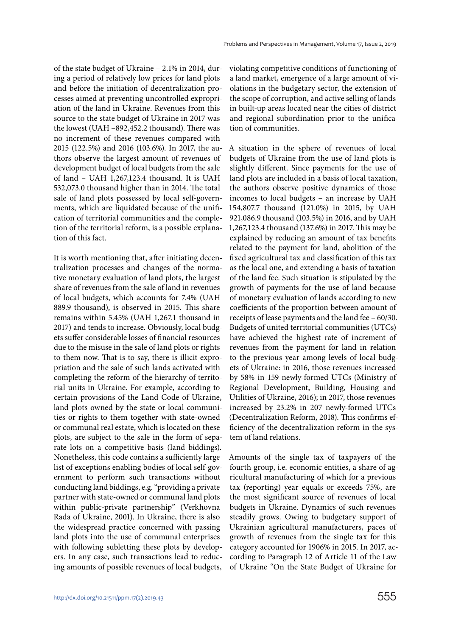of the state budget of Ukraine – 2.1% in 2014, during a period of relatively low prices for land plots and before the initiation of decentralization processes aimed at preventing uncontrolled expropriation of the land in Ukraine. Revenues from this source to the state budget of Ukraine in 2017 was the lowest (UAH –892,452.2 thousand). There was no increment of these revenues compared with 2015 (122.5%) and 2016 (103.6%). In 2017, the authors observe the largest amount of revenues of development budget of local budgets from the sale of land – UAH 1,267,123.4 thousand. It is UAH 532,073.0 thousand higher than in 2014. The total sale of land plots possessed by local self-governments, which are liquidated because of the unification of territorial communities and the completion of the territorial reform, is a possible explanation of this fact.

It is worth mentioning that, after initiating decentralization processes and changes of the normative monetary evaluation of land plots, the largest share of revenues from the sale of land in revenues of local budgets, which accounts for 7.4% (UAH 889.9 thousand), is observed in 2015. This share remains within 5.45% (UAH 1,267.1 thousand in 2017) and tends to increase. Obviously, local budgets suffer considerable losses of financial resources due to the misuse in the sale of land plots or rights to them now. That is to say, there is illicit expropriation and the sale of such lands activated with completing the reform of the hierarchy of territorial units in Ukraine. For example, according to certain provisions of the Land Code of Ukraine, land plots owned by the state or local communities or rights to them together with state-owned or communal real estate, which is located on these plots, are subject to the sale in the form of separate lots on a competitive basis (land biddings). Nonetheless, this code contains a sufficiently large list of exceptions enabling bodies of local self-government to perform such transactions without conducting land biddings, e.g. "providing a private partner with state-owned or communal land plots within public-private partnership" (Verkhovna Rada of Ukraine, 2001). In Ukraine, there is also the widespread practice concerned with passing land plots into the use of communal enterprises with following subletting these plots by developers. In any case, such transactions lead to reducing amounts of possible revenues of local budgets, violating competitive conditions of functioning of a land market, emergence of a large amount of violations in the budgetary sector, the extension of the scope of corruption, and active selling of lands in built-up areas located near the cities of district and regional subordination prior to the unification of communities.

A situation in the sphere of revenues of local budgets of Ukraine from the use of land plots is slightly different. Since payments for the use of land plots are included in a basis of local taxation, the authors observe positive dynamics of those incomes to local budgets – an increase by UAH 154,807.7 thousand (121.0%) in 2015, by UAH 921,086.9 thousand (103.5%) in 2016, and by UAH 1,267,123.4 thousand (137.6%) in 2017. This may be explained by reducing an amount of tax benefits related to the payment for land, abolition of the fixed agricultural tax and classification of this tax as the local one, and extending a basis of taxation of the land fee. Such situation is stipulated by the growth of payments for the use of land because of monetary evaluation of lands according to new coefficients of the proportion between amount of receipts of lease payments and the land fee – 60/30. Budgets of united territorial communities (UTCs) have achieved the highest rate of increment of revenues from the payment for land in relation to the previous year among levels of local budgets of Ukraine: in 2016, those revenues increased by 58% in 159 newly-formed UTCs (Ministry of Regional Development, Building, Housing and Utilities of Ukraine, 2016); in 2017, those revenues increased by 23.2% in 207 newly-formed UTCs (Decentralization Reform, 2018). This confirms efficiency of the decentralization reform in the system of land relations.

Amounts of the single tax of taxpayers of the fourth group, i.e. economic entities, a share of agricultural manufacturing of which for a previous tax (reporting) year equals or exceeds 75%, are the most significant source of revenues of local budgets in Ukraine. Dynamics of such revenues steadily grows. Owing to budgetary support of Ukrainian agricultural manufacturers, paces of growth of revenues from the single tax for this category accounted for 1906% in 2015. In 2017, according to Paragraph 12 of Article 11 of the Law of Ukraine "On the State Budget of Ukraine for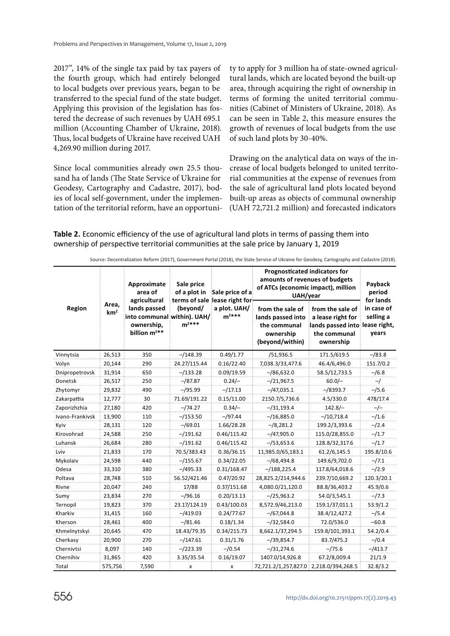2017", 14% of the single tax paid by tax payers of the fourth group, which had entirely belonged to local budgets over previous years, began to be transferred to the special fund of the state budget. Applying this provision of the legislation has fostered the decrease of such revenues by UAH 695.1 million (Accounting Chamber of Ukraine, 2018). Thus, local budgets of Ukraine have received UAH 4,269.90 million during 2017.

Since local communities already own 25.5 thousand ha of lands (The State Service of Ukraine for Geodesy, Cartography and Cadastre, 2017), bodies of local self-government, under the implementation of the territorial reform, have an opportunity to apply for 3 million ha of state-owned agricultural lands, which are located beyond the built-up area, through acquiring the right of ownership in terms of forming the united territorial communities (Cabinet of Ministers of Ukraine, 2018). As can be seen in Table 2, this measure ensures the growth of revenues of local budgets from the use of such land plots by 30-40%.

Drawing on the analytical data on ways of the increase of local budgets belonged to united territorial communities at the expense of revenues from the sale of agricultural land plots located beyond built-up areas as objects of communal ownership (UAH 72,721.2 million) and forecasted indicators

#### **Table 2.** Economic efficiency of the use of agricultural land plots in terms of passing them into ownership of perspective territorial communities at the sale price by January 1, 2019

|                 | Area,<br>km <sup>2</sup> | Approximate<br>area of<br>agricultural<br>lands passed<br>into communal within). UAH/<br>ownership,<br>billion m <sup>2**</sup> | Sale price<br>of a plot in<br>terms of sale lease right for<br>(beyond/<br>$m^{2***}$ | Sale price of a            | <b>Prognosticated indicators for</b><br>amounts of revenues of budgets<br>of ATCs (economic impact), million<br>UAH/year | Payback<br>period<br>for lands                                                                       |                                  |
|-----------------|--------------------------|---------------------------------------------------------------------------------------------------------------------------------|---------------------------------------------------------------------------------------|----------------------------|--------------------------------------------------------------------------------------------------------------------------|------------------------------------------------------------------------------------------------------|----------------------------------|
| Region          |                          |                                                                                                                                 |                                                                                       | a plot. UAH/<br>$m^{2***}$ | from the sale of<br>lands passed into<br>the communal<br>ownership<br>(beyond/within)                                    | from the sale of<br>a lease right for<br>lands passed into lease right,<br>the communal<br>ownership | in case of<br>selling a<br>years |
| Vinnytsia       | 26,513                   | 350                                                                                                                             | $-/148.39$                                                                            | 0.49/1.77                  | /51,936.5                                                                                                                | 171.5/619.5                                                                                          | $-$ /83.8                        |
| Volyn           | 20,144                   | 290                                                                                                                             | 24.27/115.44                                                                          | 0.16/22.40                 | 7,038.3/33,477.6                                                                                                         | 46.4/6,496.0                                                                                         | 151.7/0.2                        |
| Dnipropetrovsk  | 31,914                   | 650                                                                                                                             | $-/133.28$                                                                            | 0.09/19.59                 | $-$ /86,632.0                                                                                                            | 58.5/12,733.5                                                                                        | $-$ /6.8                         |
| Donetsk         | 26,517                   | 250                                                                                                                             | $- / 87.87$                                                                           | $0.24/-$                   | $- / 21,967.5$                                                                                                           | $60.0/-$                                                                                             | $-1$                             |
| Zhytomyr        | 29,832                   | 490                                                                                                                             | $-$ /95.99                                                                            | $-/17.13$                  | $-$ /47,035.1                                                                                                            | $-$ /8393.7                                                                                          | $-/5.6$                          |
| Zakarpattia     | 12,777                   | 30                                                                                                                              | 71.69/191.22                                                                          | 0.15/11.00                 | 2150.7/5,736.6                                                                                                           | 4.5/330.0                                                                                            | 478/17.4                         |
| Zaporizhzhia    | 27,180                   | 420                                                                                                                             | $-74.27$                                                                              | $0.34/-$                   | $-$ /31,193.4                                                                                                            | $142.8/-$                                                                                            | $-/-$                            |
| Ivano-Frankivsk | 13,900                   | 110                                                                                                                             | $-/153.50$                                                                            | $-$ /97.44                 | $- / 16,885.0$                                                                                                           | $-$ /10,718.4                                                                                        | $-/1.6$                          |
| Kyiv            | 28,131                   | 120                                                                                                                             | $-$ /69.01                                                                            | 1.66/28.28                 | $-$ /8,281.2                                                                                                             | 199.2/3,393.6                                                                                        | $-/2.4$                          |
| Kirovohrad      | 24,588                   | 250                                                                                                                             | $-/191.62$                                                                            | 0.46/115.42                | $-$ /47,905.0                                                                                                            | 115.0/28,855.0                                                                                       | $-/1.7$                          |
| Luhansk         | 26,684                   | 280                                                                                                                             | $-/191.62$                                                                            | 0.46/115.42                | $-/-3,653.6$                                                                                                             | 128.8/32,317.6                                                                                       | $-11.7$                          |
| Lviv            | 21,833                   | 170                                                                                                                             | 70.5/383.43                                                                           | 0.36/36.15                 | 11,985.0/65,183.1                                                                                                        | 61.2/6,145.5                                                                                         | 195.8/10.6                       |
| Mykolaiv        | 24,598                   | 440                                                                                                                             | $-/155.67$                                                                            | 0.34/22.05                 | $-$ /68,494.8                                                                                                            | 149.6/9,702.0                                                                                        | $-/7.1$                          |
| Odesa           | 33,310                   | 380                                                                                                                             | $-$ /495.33                                                                           | 0.31/168.47                | $- / 188, 225.4$                                                                                                         | 117.8/64,018.6                                                                                       | $-/2.9$                          |
| Poltava         | 28,748                   | 510                                                                                                                             | 56.52/421.46                                                                          | 0.47/20.92                 | 28,825.2/214,944.6                                                                                                       | 239.7/10,669.2                                                                                       | 120.3/20.1                       |
| Rivne           | 20,047                   | 240                                                                                                                             | 17/88                                                                                 | 0.37/151.68                | 4,080.0/21,120.0                                                                                                         | 88.8/36,403.2                                                                                        | 45.9/0.6                         |
| Sumy            | 23,834                   | 270                                                                                                                             | $-$ /96.16                                                                            | 0.20/13.13                 | $- / 25,963.2$                                                                                                           | 54.0/3,545.1                                                                                         | $-/7.3$                          |
| Ternopil        | 19,823                   | 370                                                                                                                             | 23.17/124.19                                                                          | 0.43/100.03                | 8,572.9/46,213.0                                                                                                         | 159.1/37,011.1                                                                                       | 53.9/1.2                         |
| Kharkiv         | 31,415                   | 160                                                                                                                             | $-$ /419.03                                                                           | 0.24/77.67                 | $-$ /67,044.8                                                                                                            | 38.4/12,427.2                                                                                        | $-/5.4$                          |
| Kherson         | 28,461                   | 400                                                                                                                             | $-$ /81.46                                                                            | 0.18/1.34                  | –/32,584.0                                                                                                               | 72.0/536.0                                                                                           | $-60.8$                          |
| Khmelnytskyi    | 20,645                   | 470                                                                                                                             | 18.43/79.35                                                                           | 0.34/215.73                | 8,662.1/37,294.5                                                                                                         | 159.8/101,393.1                                                                                      | 54.2/0.4                         |
| Cherkasy        | 20,900                   | 270                                                                                                                             | $-/147.61$                                                                            | 0.31/1.76                  | $-$ /39,854.7                                                                                                            | 83.7/475.2                                                                                           | $-$ /0.4                         |
| Chernivtsi      | 8,097                    | 140                                                                                                                             | $-/223.39$                                                                            | $- / 0.54$                 | $-/31,274.6$                                                                                                             | $-775.6$                                                                                             | $-/413.7$                        |
| Chernihiv       | 31,865                   | 420                                                                                                                             | 3.35/35.54                                                                            | 0.16/19.07                 | 1407.0/14,926.8                                                                                                          | 67.2/8,009.4                                                                                         | 21/1.9                           |
| Total           | 575,756                  | 7,590                                                                                                                           | x                                                                                     | x                          | 72,721.2/1,257,827.0 2,218.0/394,268.5                                                                                   |                                                                                                      | 32.8/3.2                         |

Source: Decentralization Reform (2017), Government Portal (2018), the State Service of Ukraine for Geodesy, Cartography and Cadastre (2018).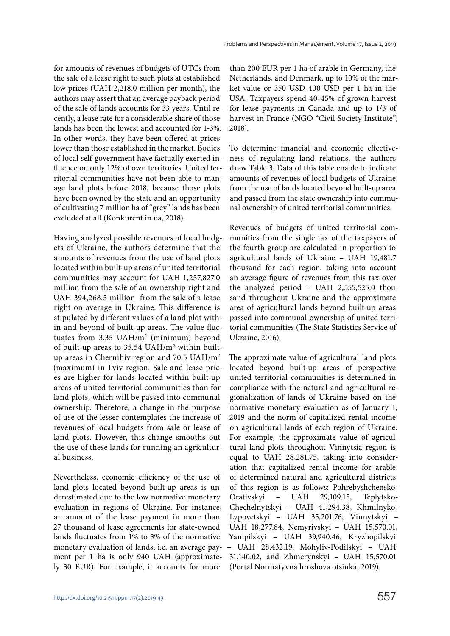for amounts of revenues of budgets of UTCs from the sale of a lease right to such plots at established low prices (UAH 2,218.0 million per month), the authors may assert that an average payback period of the sale of lands accounts for 33 years. Until recently, a lease rate for a considerable share of those lands has been the lowest and accounted for 1-3%. In other words, they have been offered at prices lower than those established in the market. Bodies of local self-government have factually exerted influence on only 12% of own territories. United territorial communities have not been able to manage land plots before 2018, because those plots have been owned by the state and an opportunity of cultivating 7 million ha of "grey" lands has been excluded at all (Konkurent.in.ua, 2018).

Having analyzed possible revenues of local budgets of Ukraine, the authors determine that the amounts of revenues from the use of land plots located within built-up areas of united territorial communities may account for UAH 1,257,827.0 million from the sale of an ownership right and UAH 394,268.5 million from the sale of a lease right on average in Ukraine. This difference is stipulated by different values of a land plot within and beyond of built-up areas. The value fluctuates from  $3.35 \text{ UAH/m}^2$  (minimum) beyond of built-up areas to 35.54 UAH/m<sup>2</sup> within builtup areas in Chernihiv region and 70.5 UAH/m<sup>2</sup> (maximum) in Lviv region. Sale and lease prices are higher for lands located within built-up areas of united territorial communities than for land plots, which will be passed into communal ownership. Therefore, a change in the purpose of use of the lesser contemplates the increase of revenues of local budgets from sale or lease of land plots. However, this change smooths out the use of these lands for running an agricultural business.

Nevertheless, economic efficiency of the use of land plots located beyond built-up areas is underestimated due to the low normative monetary evaluation in regions of Ukraine. For instance, an amount of the lease payment in more than 27 thousand of lease agreements for state-owned lands fluctuates from 1% to 3% of the normative monetary evaluation of lands, i.e. an average payment per 1 ha is only 940 UAH (approximately 30 EUR). For example, it accounts for more

than 200 EUR per 1 ha of arable in Germany, the Netherlands, and Denmark, up to 10% of the market value or 350 USD-400 USD per 1 ha in the USA. Taxpayers spend 40-45% of grown harvest for lease payments in Canada and up to 1/3 of harvest in France (NGO "Civil Society Institute", 2018).

To determine financial and economic effectiveness of regulating land relations, the authors draw Table 3. Data of this table enable to indicate amounts of revenues of local budgets of Ukraine from the use of lands located beyond built-up area and passed from the state ownership into communal ownership of united territorial communities.

Revenues of budgets of united territorial communities from the single tax of the taxpayers of the fourth group are calculated in proportion to agricultural lands of Ukraine – UAH 19,481.7 thousand for each region, taking into account an average figure of revenues from this tax over the analyzed period – UAH 2,555,525.0 thousand throughout Ukraine and the approximate area of agricultural lands beyond built-up areas passed into communal ownership of united territorial communities (The State Statistics Service of Ukraine, 2016).

The approximate value of agricultural land plots located beyond built-up areas of perspective united territorial communities is determined in compliance with the natural and agricultural regionalization of lands of Ukraine based on the normative monetary evaluation as of January 1, 2019 and the norm of capitalized rental income on agricultural lands of each region of Ukraine. For example, the approximate value of agricultural land plots throughout Vinnytsia region is equal to UAH 28,281.75, taking into consideration that capitalized rental income for arable of determined natural and agricultural districts of this region is as follows: Pohrebyshchensko-Orativskyi – UAH 29,109.15, Teplytsko-Chechelnytskyi – UAH 41,294.38, Khmilnyko-Lypovetskyi – UAH 35,201.76, Vinnytskyi – UAH 18,277.84, Nemyrivskyi – UAH 15,570.01, Yampilskyi – UAH 39,940.46, Kryzhopilskyi – UAH 28,432.19, Mohyliv-Podilskyi – UAH 31,140.02, and Zhmerynskyi – UAH 15,570.01 (Portal Normatyvna hroshova otsinka, 2019).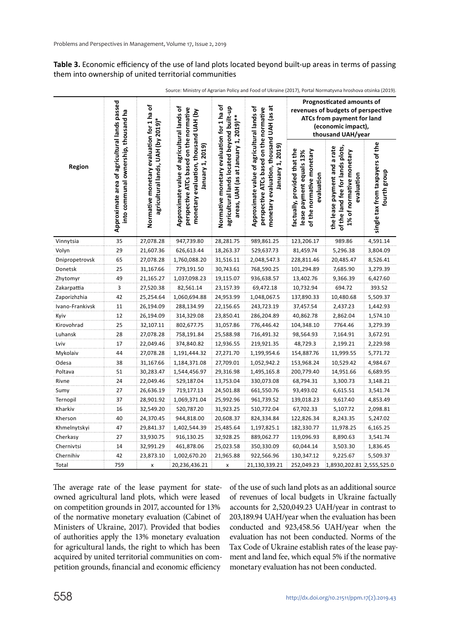#### **Table 3.** Economic efficiency of the use of land plots located beyond built-up areas in terms of passing them into ownership of united territorial communities

|                 |                                                                                       |                                                                                 |                                                                                                                                                      |                                                                                                                                 |                                                                                                                                                      | Prognosticated amounts of<br>revenues of budgets of perspective<br><b>ATCs from payment for land</b><br>(economic impact),<br>thousand UAH/year |                                                                                                            |                                                  |
|-----------------|---------------------------------------------------------------------------------------|---------------------------------------------------------------------------------|------------------------------------------------------------------------------------------------------------------------------------------------------|---------------------------------------------------------------------------------------------------------------------------------|------------------------------------------------------------------------------------------------------------------------------------------------------|-------------------------------------------------------------------------------------------------------------------------------------------------|------------------------------------------------------------------------------------------------------------|--------------------------------------------------|
| Region          | Approximate area of agricultural lands passed<br>into communal ownership, thousand ha | Normative monetary evaluation for 1 ha of<br>agricultural lands, UAH (by 2019)* | Approximate value of agricultural lands of<br>perspective ATCs based on the normative<br>monetary evaluation, thousand UAH (by<br>2019)<br>anuary 1, | Normative monetary evaluation for 1 ha of<br>agricultural lands located beyond built-up<br>areas, UAH (as at January 1, 2019)** | Approximate value of agricultural lands of<br>monetary evaluation, thousand UAH (as at<br>perspective ATCs based on the normative<br>anuary 1, 2019) | factually, provided that the<br>of the normative monetary<br>lease payment equals 13%<br>evaluation                                             | the lease payment and a rate<br>of the land fee for lands plots,<br>1% of normative monetary<br>avaluation | single tax from taxpayers of the<br>fourth group |
| Vinnytsia       | 35                                                                                    | 27,078.28                                                                       | 947,739.80                                                                                                                                           | 28,281.75                                                                                                                       | 989,861.25                                                                                                                                           | 123,206.17                                                                                                                                      | 989.86                                                                                                     | 4,591.14                                         |
| Volyn           | 29                                                                                    | 21,607.36                                                                       | 626,613.44                                                                                                                                           | 18,263.37                                                                                                                       | 529,637.73                                                                                                                                           | 81,459.74                                                                                                                                       | 5,296.38                                                                                                   | 3,804.09                                         |
| Dnipropetrovsk  | 65                                                                                    | 27,078.28                                                                       | 1,760,088.20                                                                                                                                         | 31,516.11                                                                                                                       | 2,048,547.3                                                                                                                                          | 228,811.46                                                                                                                                      | 20,485.47                                                                                                  | 8,526.41                                         |
| Donetsk         | 25                                                                                    | 31,167.66                                                                       | 779,191.50                                                                                                                                           | 30,743.61                                                                                                                       | 768,590.25                                                                                                                                           | 101,294.89                                                                                                                                      | 7,685.90                                                                                                   | 3,279.39                                         |
| Zhytomyr        | 49                                                                                    | 21,165.27                                                                       | 1,037,098.23                                                                                                                                         | 19,115.07                                                                                                                       | 936,638.57                                                                                                                                           | 13,402.76                                                                                                                                       | 9,366.39                                                                                                   | 6,427.60                                         |
| Zakarpattia     | 3                                                                                     | 27,520.38                                                                       | 82,561.14                                                                                                                                            | 23,157.39                                                                                                                       | 69,472.18                                                                                                                                            | 10,732.94                                                                                                                                       | 694.72                                                                                                     | 393.52                                           |
| Zaporizhzhia    | 42                                                                                    | 25,254.64                                                                       | 1,060,694.88                                                                                                                                         | 24,953.99                                                                                                                       | 1,048,067.5                                                                                                                                          | 137,890.33                                                                                                                                      | 10,480.68                                                                                                  | 5,509.37                                         |
| Ivano-Frankivsk | 11                                                                                    | 26,194.09                                                                       | 288,134.99                                                                                                                                           | 22,156.65                                                                                                                       | 243,723.19                                                                                                                                           | 37,457.54                                                                                                                                       | 2,437.23                                                                                                   | 1,442.93                                         |
| Kyiv            | 12                                                                                    | 26,194.09                                                                       | 314,329.08                                                                                                                                           | 23,850.41                                                                                                                       | 286,204.89                                                                                                                                           | 40,862.78                                                                                                                                       | 2,862.04                                                                                                   | 1,574.10                                         |
| Kirovohrad      | 25                                                                                    | 32,107.11                                                                       | 802,677.75                                                                                                                                           | 31,057.86                                                                                                                       | 776,446.42                                                                                                                                           | 104,348.10                                                                                                                                      | 7764.46                                                                                                    | 3,279.39                                         |
| Luhansk         | 28                                                                                    | 27,078.28                                                                       | 758,191.84                                                                                                                                           | 25,588.98                                                                                                                       | 716,491.32                                                                                                                                           | 98,564.93                                                                                                                                       | 7,164.91                                                                                                   | 3,672.91                                         |
| Lviv            | 17                                                                                    | 22,049.46                                                                       | 374,840.82                                                                                                                                           | 12,936.55                                                                                                                       | 219,921.35                                                                                                                                           | 48,729.3                                                                                                                                        | 2,199.21                                                                                                   | 2,229.98                                         |
| Mykolaiv        | 44                                                                                    | 27,078.28                                                                       | 1,191,444.32                                                                                                                                         | 27,271.70                                                                                                                       | 1,199,954.6                                                                                                                                          | 154,887.76                                                                                                                                      | 11,999.55                                                                                                  | 5,771.72                                         |
| Odesa           | 38                                                                                    | 31,167.66                                                                       | 1,184,371.08                                                                                                                                         | 27,709.01                                                                                                                       | 1,052,942.2                                                                                                                                          | 153,968.24                                                                                                                                      | 10,529.42                                                                                                  | 4,984.67                                         |
| Poltava         | 51                                                                                    | 30,283.47                                                                       | 1,544,456.97                                                                                                                                         | 29,316.98                                                                                                                       | 1,495,165.8                                                                                                                                          | 200,779.40                                                                                                                                      | 14,951.66                                                                                                  | 6,689.95                                         |
| Rivne           | 24                                                                                    | 22,049.46                                                                       | 529,187.04                                                                                                                                           | 13,753.04                                                                                                                       | 330,073.08                                                                                                                                           | 68,794.31                                                                                                                                       | 3,300.73                                                                                                   | 3,148.21                                         |
| Sumy            | 27                                                                                    | 26,636.19                                                                       | 719,177.13                                                                                                                                           | 24,501.88                                                                                                                       | 661,550.76                                                                                                                                           | 93,493.02                                                                                                                                       | 6,615.51                                                                                                   | 3,541.74                                         |
| Ternopil        | 37                                                                                    | 28,901.92                                                                       | 1,069,371.04                                                                                                                                         | 25,992.96                                                                                                                       | 961,739.52                                                                                                                                           | 139,018.23                                                                                                                                      | 9,617.40                                                                                                   | 4,853.49                                         |
| Kharkiv         | 16                                                                                    | 32,549.20                                                                       | 520,787.20                                                                                                                                           | 31,923.25                                                                                                                       | 510,772.04                                                                                                                                           | 67,702.33                                                                                                                                       | 5,107.72                                                                                                   | 2,098.81                                         |
| Kherson         | 40                                                                                    | 24,370.45                                                                       | 944,818.00                                                                                                                                           | 20,608.37                                                                                                                       | 824,334.84                                                                                                                                           | 122,826.34                                                                                                                                      | 8,243.35                                                                                                   | 5,247.02                                         |
| Khmelnytskyi    | 47                                                                                    | 29,841.37                                                                       | 1,402,544.39                                                                                                                                         | 25,485.64                                                                                                                       | 1,197,825.1                                                                                                                                          | 182,330.77                                                                                                                                      | 11,978.25                                                                                                  | 6,165.25                                         |
| Cherkasy        | 27                                                                                    | 33,930.75                                                                       | 916,130.25                                                                                                                                           | 32,928.25                                                                                                                       | 889,062.77                                                                                                                                           | 119,096.93                                                                                                                                      | 8,890.63                                                                                                   | 3,541.74                                         |
| Chernivtsi      | 14                                                                                    | 32,991.29                                                                       | 461,878.06                                                                                                                                           | 25,023.58                                                                                                                       | 350,330.09                                                                                                                                           | 60,044.14                                                                                                                                       | 3,503.30                                                                                                   | 1,836.45                                         |
| Chernihiv       | 42                                                                                    | 23,873.10                                                                       | 1,002,670.20                                                                                                                                         | 21,965.88                                                                                                                       | 922,566.96                                                                                                                                           | 130,347.12                                                                                                                                      | 9,225.67                                                                                                   | 5,509.37                                         |
| Total           | 759                                                                                   | X                                                                               | 20,236,436.21                                                                                                                                        | X                                                                                                                               | 21,130,339.21                                                                                                                                        | 252,049.23                                                                                                                                      | 1,8930,202.81 2,555,525.0                                                                                  |                                                  |

Source: Ministry of Agrarian Policy and Food of Ukraine (2017), Portal Normatyvna hroshova otsinka (2019).

The average rate of the lease payment for stateowned agricultural land plots, which were leased on competition grounds in 2017, accounted for 13% of the normative monetary evaluation (Cabinet of Ministers of Ukraine, 2017). Provided that bodies of authorities apply the 13% monetary evaluation for agricultural lands, the right to which has been acquired by united territorial communities on competition grounds, financial and economic efficiency

of the use of such land plots as an additional source of revenues of local budgets in Ukraine factually accounts for 2,520,049.23 UAH/year in contrast to 203,189.94 UAH/year when the evaluation has been conducted and 923,458.56 UAH/year when the evaluation has not been conducted. Norms of the Tax Code of Ukraine establish rates of the lease payment and land fee, which equal 5% if the normative monetary evaluation has not been conducted.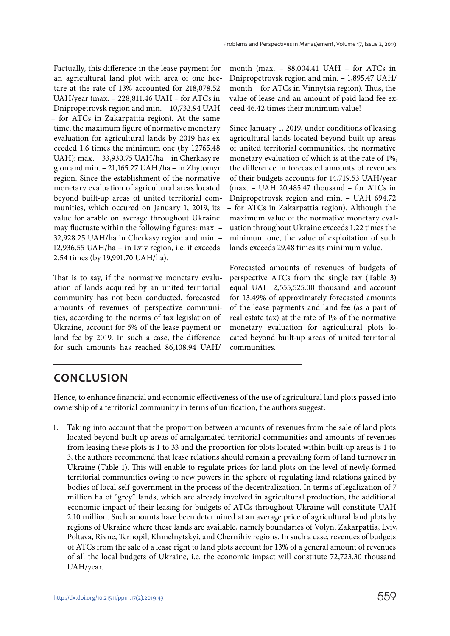Factually, this difference in the lease payment for an agricultural land plot with area of one hectare at the rate of 13% accounted for 218,078.52 UAH/year (max. – 228,811.46 UAH – for ATCs in Dnipropetrovsk region and min. – 10,732.94 UAH – for ATCs in Zakarpattia region). At the same time, the maximum figure of normative monetary evaluation for agricultural lands by 2019 has exceeded 1.6 times the minimum one (by 12765.48 UAH): max. – 33,930.75 UAH/ha – in Cherkasy region and min. – 21,165.27 UAH /ha – in Zhytomyr region. Since the establishment of the normative monetary evaluation of agricultural areas located beyond built-up areas of united territorial communities, which occured on January 1, 2019, its value for arable on average throughout Ukraine may fluctuate within the following figures: max. – 32,928.25 UAH/hа in Cherkasy region and min. – 12,936.55 UAH/hа – in Lviv region, i.e. it exceeds 2.54 times (by 19,991.70 UAH/ha).

That is to say, if the normative monetary evaluation of lands acquired by an united territorial community has not been conducted, forecasted amounts of revenues of perspective communities, according to the norms of tax legislation of Ukraine, account for 5% of the lease payment or land fee by 2019. In such a case, the difference for such amounts has reached 86,108.94 UAH/

month (max. – 88,004.41 UAH – for ATCs in Dnipropetrovsk region and min. – 1,895.47 UAH/ month – for ATCs in Vinnytsia region). Thus, the value of lease and an amount of paid land fee exceed 46.42 times their minimum value!

Since January 1, 2019, under conditions of leasing agricultural lands located beyond built-up areas of united territorial communities, the normative monetary evaluation of which is at the rate of 1%, the difference in forecasted amounts of revenues of their budgets accounts for 14,719.53 UAH/year (max. – UAH 20,485.47 thousand – for ATCs in Dnipropetrovsk region and min. – UAH 694.72 – for ATCs in Zakarpattia region). Although the maximum value of the normative monetary evaluation throughout Ukraine exceeds 1.22 times the minimum one, the value of exploitation of such lands exceeds 29.48 times its minimum value.

Forecasted amounts of revenues of budgets of perspective ATCs from the single tax (Table 3) equal UAH 2,555,525.00 thousand and account for 13.49% of approximately forecasted amounts of the lease payments and land fee (as a part of real estate tax) at the rate of 1% of the normative monetary evaluation for agricultural plots located beyond built-up areas of united territorial communities.

## **CONCLUSION**

Hence, to enhance financial and economic effectiveness of the use of agricultural land plots passed into ownership of a territorial community in terms of unification, the authors suggest:

1. Taking into account that the proportion between amounts of revenues from the sale of land plots located beyond built-up areas of amalgamated territorial communities and amounts of revenues from leasing these plots is 1 to 33 and the proportion for plots located within built-up areas is 1 to 3, the authors recommend that lease relations should remain a prevailing form of land turnover in Ukraine (Table 1). This will enable to regulate prices for land plots on the level of newly-formed territorial communities owing to new powers in the sphere of regulating land relations gained by bodies of local self-government in the process of the decentralization. In terms of legalization of 7 million ha of "grey" lands, which are already involved in agricultural production, the additional economic impact of their leasing for budgets of ATCs throughout Ukraine will constitute UAH 2.10 million. Such amounts have been determined at an average price of agricultural land plots by regions of Ukraine where these lands are available, namely boundaries of Volyn, Zakarpattia, Lviv, Poltava, Rivne, Ternopil, Khmelnytskyi, and Chernihiv regions. In such a case, revenues of budgets of ATCs from the sale of a lease right to land plots account for 13% of a general amount of revenues of all the local budgets of Ukraine, i.e. the economic impact will constitute 72,723.30 thousand UAH/year.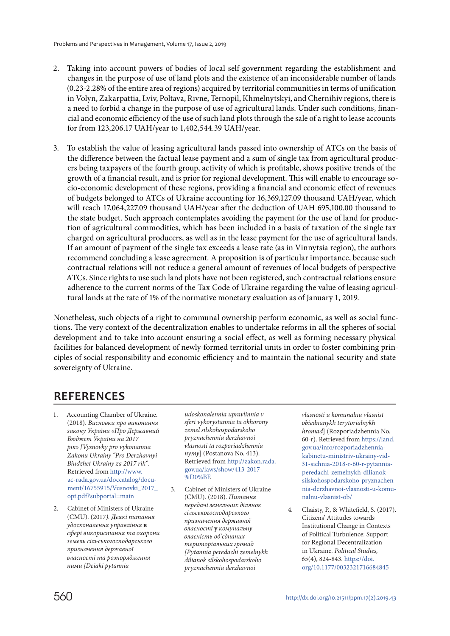- 2. Taking into account powers of bodies of local self-government regarding the establishment and changes in the purpose of use of land plots and the existence of an inconsiderable number of lands (0.23-2.28% of the entire area of regions) acquired by territorial communities in terms of unification in Volyn, Zakarpattia, Lviv, Poltava, Rivne, Ternopil, Khmelnytskyi, and Chernihiv regions, there is a need to forbid a change in the purpose of use of agricultural lands. Under such conditions, financial and economic efficiency of the use of such land plots through the sale of a right to lease accounts for from 123,206.17 UAH/year to 1,402,544.39 UAH/year.
- 3. To establish the value of leasing agricultural lands passed into ownership of ATCs on the basis of the difference between the factual lease payment and a sum of single tax from agricultural producers being taxpayers of the fourth group, activity of which is profitable, shows positive trends of the growth of a financial result, and is prior for regional development. This will enable to encourage socio-economic development of these regions, providing a financial and economic effect of revenues of budgets belonged to ATCs of Ukraine accounting for 16,369,127.09 thousand UAH/year, which will reach 17,064,227.09 thousand UAH/year after the deduction of UAH 695,100.00 thousand to the state budget. Such approach contemplates avoiding the payment for the use of land for production of agricultural commodities, which has been included in a basis of taxation of the single tax charged on agricultural producers, as well as in the lease payment for the use of agricultural lands. If an amount of payment of the single tax exceeds a lease rate (as in Vinnytsia region), the authors recommend concluding a lease agreement. A proposition is of particular importance, because such contractual relations will not reduce a general amount of revenues of local budgets of perspective ATCs. Since rights to use such land plots have not been registered, such contractual relations ensure adherence to the current norms of the Tax Code of Ukraine regarding the value of leasing agricultural lands at the rate of 1% of the normative monetary evaluation as of January 1, 2019.

Nonetheless, such objects of a right to communal ownership perform economic, as well as social functions. The very context of the decentralization enables to undertake reforms in all the spheres of social development and to take into account ensuring a social effect, as well as forming necessary physical facilities for balanced development of newly-formed territorial units in order to foster combining principles of social responsibility and economic efficiency and to maintain the national security and state sovereignty of Ukraine.

## **REFERENCES**

- Accounting Chamber of Ukraine. (2018). *Висновки про виконання закону України «Про Державний Бюджет України на 2017 рік» [Vysnovky pro vykonannia Zakonu Ukrainy "Pro Derzhavnyi Biudzhet Ukrainy za 2017 rik".* Retrieved from [http://www.](http://www.ac-rada.gov.ua/doccatalog/document/16755915/Vusnovki_2017_opt.pdf?subportal=main) [ac-rada.gov.ua/doccatalog/docu](http://www.ac-rada.gov.ua/doccatalog/document/16755915/Vusnovki_2017_opt.pdf?subportal=main)[ment/16755915/Vusnovki\\_2017\\_](http://www.ac-rada.gov.ua/doccatalog/document/16755915/Vusnovki_2017_opt.pdf?subportal=main) [opt.pdf?subportal=main](http://www.ac-rada.gov.ua/doccatalog/document/16755915/Vusnovki_2017_opt.pdf?subportal=main)
- 2. Cabinet of Ministers of Ukraine (CMU). (2017*). Деякі питання удосконалення управління* **в**  *сфері використання та охорони земель сільськогосподарського призначення державної власності та розпорядження ними [Deiaki pytannia*

*udoskonalennia upravlinnia v sferi vykorystannia ta okhorony zemel silskohospodarskoho pryznachennia derzhavnoi vlasnosti ta rozporiadzhennia nymy*] (Postanova No. 413). Retrieved from [http://zakon.rada.](http://zakon.rada.gov.ua/laws/show/413-2017-%D0%BF) [gov.ua/laws/show/413-2017-](http://zakon.rada.gov.ua/laws/show/413-2017-%D0%BF) [%D0%BF.](http://zakon.rada.gov.ua/laws/show/413-2017-%D0%BF)

3. Cabinet of Ministers of Ukraine (CMU). (2018). *Питання передачі земельних ділянок сільськогосподарського призначення державної власності* **у** *комунальну власність об'єднаних територіальних громад [Pytannia peredachi zemelnykh dilianok silskohospodarskoho pryznachennia derzhavnoi* 

*vlasnosti u komunalnu vlasnist obiednanykh terytorialnykh hromad*] (Rozporiadzhennia No. 60-r). Retrieved from [https://land.](https://land.gov.ua/info/rozporiadzhennia-kabinetu-ministriv-ukrainy-vid-31-sichnia-2018-r-60-r-pytannia-peredachi-zemelnykh-dilianok-silskohospodarskoho-pryznachennia-derzhavnoi-vlasnosti-u-komunalnu-vlasnist-ob/) [gov.ua/info/rozporiadzhennia](https://land.gov.ua/info/rozporiadzhennia-kabinetu-ministriv-ukrainy-vid-31-sichnia-2018-r-60-r-pytannia-peredachi-zemelnykh-dilianok-silskohospodarskoho-pryznachennia-derzhavnoi-vlasnosti-u-komunalnu-vlasnist-ob/)[kabinetu-ministriv-ukrainy-vid-](https://land.gov.ua/info/rozporiadzhennia-kabinetu-ministriv-ukrainy-vid-31-sichnia-2018-r-60-r-pytannia-peredachi-zemelnykh-dilianok-silskohospodarskoho-pryznachennia-derzhavnoi-vlasnosti-u-komunalnu-vlasnist-ob/)[31-sichnia-2018-r-60-r-pytannia](https://land.gov.ua/info/rozporiadzhennia-kabinetu-ministriv-ukrainy-vid-31-sichnia-2018-r-60-r-pytannia-peredachi-zemelnykh-dilianok-silskohospodarskoho-pryznachennia-derzhavnoi-vlasnosti-u-komunalnu-vlasnist-ob/)[peredachi-zemelnykh-dilianok](https://land.gov.ua/info/rozporiadzhennia-kabinetu-ministriv-ukrainy-vid-31-sichnia-2018-r-60-r-pytannia-peredachi-zemelnykh-dilianok-silskohospodarskoho-pryznachennia-derzhavnoi-vlasnosti-u-komunalnu-vlasnist-ob/)[silskohospodarskoho-pryznachen](https://land.gov.ua/info/rozporiadzhennia-kabinetu-ministriv-ukrainy-vid-31-sichnia-2018-r-60-r-pytannia-peredachi-zemelnykh-dilianok-silskohospodarskoho-pryznachennia-derzhavnoi-vlasnosti-u-komunalnu-vlasnist-ob/)[nia-derzhavnoi-vlasnosti-u-komu](https://land.gov.ua/info/rozporiadzhennia-kabinetu-ministriv-ukrainy-vid-31-sichnia-2018-r-60-r-pytannia-peredachi-zemelnykh-dilianok-silskohospodarskoho-pryznachennia-derzhavnoi-vlasnosti-u-komunalnu-vlasnist-ob/)[nalnu-vlasnist-ob/](https://land.gov.ua/info/rozporiadzhennia-kabinetu-ministriv-ukrainy-vid-31-sichnia-2018-r-60-r-pytannia-peredachi-zemelnykh-dilianok-silskohospodarskoho-pryznachennia-derzhavnoi-vlasnosti-u-komunalnu-vlasnist-ob/)

4. Chaisty, P., & Whitefield, S. (2017). Citizens' Attitudes towards Institutional Change in Contexts of Political Turbulence: Support for Regional Decentralization in Ukraine. *Political Studies, 65*(4), 824-843. [https://doi.](https://doi.org/10.1177/0032321716684845) [org/10.1177/0032321716684845](https://doi.org/10.1177/0032321716684845)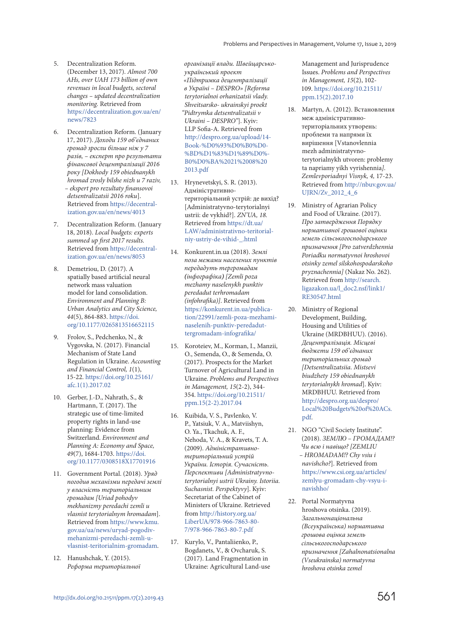- 5. Decentralization Reform. (December 13, 2017). *Almost 700 AHs, over UAH 173 billion of own revenues in local budgets, sectoral changes – updated decentralization monitoring.* Retrieved from [https://decentralization.gov.ua/en/](https://decentralization.gov.ua/en/news/7823) [news/7823](https://decentralization.gov.ua/en/news/7823)
- 6. Decentralization Reform. (January 17, 2017). *Доходи 159 об'єднаних громад зросли більше ніж у 7 разів, – експерт про результати фінансової децентралізації 2016 року [Dokhody 159 obiednanykh hromad zrosly bilshe nizh u 7 raziv, – ekspert pro rezultaty finansovoi detsentralizatsii 2016 roku*]. Retrieved from [https://decentral](https://decentralization.gov.ua/en/news/4013)[ization.gov.ua/en/news/4013](https://decentralization.gov.ua/en/news/4013)
- 7. Decentralization Reform. (January 18, 2018). *Local budgets: experts summed up first 2017 results.* Retrieved from [https://decentral](https://decentralization.gov.ua/en/news/8053)[ization.gov.ua/en/news/8053](https://decentralization.gov.ua/en/news/8053)
- 8. Demetriou, D. (2017). A spatially based artificial neural network mass valuation model for land consolidation. *Environment and Planning B: Urban Analytics and City Science, 44*(5), 864-883. [https://doi.](https://doi.org/10.1177/0265813516652115) [org/10.1177/0265813516652115](https://doi.org/10.1177/0265813516652115)
- 9. Frolov, S., Pedchenko, N., & Vygovska, N. (2017). Financial Mechanism of State Land Regulation in Ukraine. *Accounting and Financial Control, 1*(1), 15-22. [https://doi.org/10.25161/](https://doi.org/10.25161/afc.1(1).2017.02)  $afc.1(1).2017.02$
- 10. Gerber, J.-D., Nahrath, S., & Hartmann, T. (2017). The strategic use of time-limited property rights in land-use planning: Evidence from Switzerland. *Environment and Planning A: Economy and Space, 49*(7), 1684-1703. [https://doi.](https://doi.org/10.1177/0308518X17701916) [org/10.1177/0308518X17701916](https://doi.org/10.1177/0308518X17701916)
- 11. Government Portal. (2018). *Уряд погодив механізми передачі землі у власність територіальним громадам [Uriad pohodyv mekhanizmy peredachi zemli u vlasnist terytorialnym hromadam*]. Retrieved from [https://www.kmu.](https://www.kmu.gov.ua/ua/news/uryad-pogodiv-mehanizmi-peredachi-zemli-u-vlasnist-teritorialnim-gromadam) [gov.ua/ua/news/uryad-pogodiv](https://www.kmu.gov.ua/ua/news/uryad-pogodiv-mehanizmi-peredachi-zemli-u-vlasnist-teritorialnim-gromadam)[mehanizmi-peredachi-zemli-u](https://www.kmu.gov.ua/ua/news/uryad-pogodiv-mehanizmi-peredachi-zemli-u-vlasnist-teritorialnim-gromadam)[vlasnist-teritorialnim-gromadam](https://www.kmu.gov.ua/ua/news/uryad-pogodiv-mehanizmi-peredachi-zemli-u-vlasnist-teritorialnim-gromadam).
- 12. Hanushchak, Y. (2015). *Реформа територіальної*

*організації влади. Швейцарськоукраїнський проект «Підтримка децентралізації в Україні – DESPRO» [Reforma terytorialnoi orhanizatsii vlady. Shveitsarsko- ukrainskyi proekt "Pidtrymka detsentralizatsii v Ukraini – DESPRO"*]. Кyiv: LLP Sofia-А. Retrieved from [http://despro.org.ua/upload/14-](http://despro.org.ua/upload/14-Book-%D0%93%D0%B0%D0%BD%D1%83%D1%89%D0%B0%D0%BA%2021%2008%202013.pdf) [Book-%D0%93%D0%B0%D0-](http://despro.org.ua/upload/14-Book-%D0%93%D0%B0%D0%BD%D1%83%D1%89%D0%B0%D0%BA%2021%2008%202013.pdf) [%BD%D1%83%D1%89%D0%-](http://despro.org.ua/upload/14-Book-%D0%93%D0%B0%D0%BD%D1%83%D1%89%D0%B0%D0%BA%2021%2008%202013.pdf) [B0%D0%BA%2021%2008%20](http://despro.org.ua/upload/14-Book-%D0%93%D0%B0%D0%BD%D1%83%D1%89%D0%B0%D0%BA%2021%2008%202013.pdf) [2013.pdf](http://despro.org.ua/upload/14-Book-%D0%93%D0%B0%D0%BD%D1%83%D1%89%D0%B0%D0%BA%2021%2008%202013.pdf)

- 13. Hrynevetskyi, S. R. (2013). Адміністративнотериторіальний устрій: де вихід? [Administratyvno-terytorialnyi ustrii: de vykhid?]. *ZN'UA, 18.* Retrieved from [https://dt.ua/](https://dt.ua/LAW/administrativno-teritorialniy-ustriy-de-vihid-_.html) [LAW/administrativno-teritorial](https://dt.ua/LAW/administrativno-teritorialniy-ustriy-de-vihid-_.html)[niy-ustriy-de-vihid-\\_.html](https://dt.ua/LAW/administrativno-teritorialniy-ustriy-de-vihid-_.html)
- 14. Konkurent.in.ua (2018). *Землі поза межами населених пунктів передадуть тергромадам (інфографіка) [Zemli poza mezhamy naselenykh punktiv peredadut terhromadam (infohrafika)]*. Retrieved from [https://konkurent.in.ua/publica](https://konkurent.in.ua/publication/22991/zemli-poza-mezhami-naselenih-punktiv-peredadut-tergromadam-infografika/)[tion/22991/zemli-poza-mezhami](https://konkurent.in.ua/publication/22991/zemli-poza-mezhami-naselenih-punktiv-peredadut-tergromadam-infografika/)[naselenih-punktiv-peredadut](https://konkurent.in.ua/publication/22991/zemli-poza-mezhami-naselenih-punktiv-peredadut-tergromadam-infografika/)[tergromadam-infografika/](https://konkurent.in.ua/publication/22991/zemli-poza-mezhami-naselenih-punktiv-peredadut-tergromadam-infografika/)
- 15. Koroteiev, M., Korman, I., Manzii, O., Semenda, O., & Semenda, O. (2017). Prospects for the Market Turnover of Agricultural Land in Ukraine. *Problems and Perspectives in Management, 15*(2-2), 344- 354. [https://doi.org/10.21511/](https://doi.org/10.21511/ppm.15(2-2).2017.04) [ppm.15\(2-2\).2017.04](https://doi.org/10.21511/ppm.15(2-2).2017.04)
- 16. Kuibida, V. S., Pavlenko, V. P., Yatsiuk, V. A., Matviishyn, O. Ya., Tkachuk, A. F., Nehoda, V. A., & Kravets, T. A. (2009). *Адміністративнотериторіальний устрій України. Історія. Сучасність. Перспективи [Administratyvnoterytorialnyi ustrii Ukrainy. Istoriia. Suchasnist. Perspektyvy*]. Kyiv: Secretariat of the Cabinet of Ministers of Ukraine. Retrieved from [http://history.org.ua/](http://history.org.ua/LiberUA/978-966-7863-80-7/978-966-7863-80-7.pdf) [LiberUA/978-966-7863-80-](http://history.org.ua/LiberUA/978-966-7863-80-7/978-966-7863-80-7.pdf) [7/978-966-7863-80-7.pdf](http://history.org.ua/LiberUA/978-966-7863-80-7/978-966-7863-80-7.pdf)
- 17. Kurylo, V., Pantaliienko, P., Bogdanets, V., & Ovcharuk, S. (2017). Land Fragmentation in Ukraine: Agricultural Land-use

Management and Jurisprudence Issues. *Problems and Perspectives in Management, 15*(2), 102- 109. [https://doi.org/10.21511/](https://doi.org/10.21511/ppm.15(2).2017.10)  $ppm.15(2)$ .2017.10

- 18. Martyn, A. (2012). Встановлення меж адміністративнотериторіальних утворень: проблеми та напрями їх вирішення [Vstanovlennia mezh administratyvnoterytorialnykh utvoren: problemy ta napriamy yikh vyrishennia*]*. *Zemlevporiadnyi Visnyk, 4,* 17-23. Retrieved from [http://nbuv.gov.ua/](http://nbuv.gov.ua/UJRN/Zv_2012_4_6) [UJRN/Zv\\_2012\\_4\\_6](http://nbuv.gov.ua/UJRN/Zv_2012_4_6)
- 19. Ministry of Agrarian Policy and Food of Ukraine. (2017). *Про затвердження Порядку нормативної грошової оцінки земель сільськогосподарського призначення [Pro zatverdzhennia Poriadku normatyvnoi hroshovoi otsinky zemel silskohospodarskoho pryznachennia]* (Nakaz No. 262). Retrieved from [http://search.](http://search.ligazakon.ua/l_doc2.nsf/link1/RE30547.html) [ligazakon.ua/l\\_doc2.nsf/link1/](http://search.ligazakon.ua/l_doc2.nsf/link1/RE30547.html) [RE30547.html](http://search.ligazakon.ua/l_doc2.nsf/link1/RE30547.html)
- 20. Ministry of Regional Development, Building, Housing and Utilities of Ukraine (MRDBHUU). (2016). *Децентралізація. Місцеві бюджети 159 об'єднаних територіальних громад [Detsentralizatsiia. Mistsevi biudzhety 159 obiednanykh terytorialnykh hromad*]. Kyiv: MRDBHUU. Retrieved from [http://despro.org.ua/despro/](http://despro.org.ua/despro/Local%20Budgets%20of%20ACs.pdf) [Local%20Budgets%20of%20ACs.](http://despro.org.ua/despro/Local%20Budgets%20of%20ACs.pdf) [pdf.](http://despro.org.ua/despro/Local%20Budgets%20of%20ACs.pdf)
- 21. NGO "Civil Society Institute". (2018). *ЗЕМЛЮ – ГРОМАДАМ!? Чи всю і навіщо? [ZEMLIU – HROMADAM!? Chy vsiu i navishcho?*]. Retrieved from [https://www.csi.org.ua/articles/](https://www.csi.org.ua/articles/zemlyu-gromadam-chy-vsyu-i-navishho/) [zemlyu-gromadam-chy-vsyu-i](https://www.csi.org.ua/articles/zemlyu-gromadam-chy-vsyu-i-navishho/)[navishho/](https://www.csi.org.ua/articles/zemlyu-gromadam-chy-vsyu-i-navishho/)
- 22. Portal Normatyvna hroshova otsinka. (2019). *Загальнонаціональна (Всеукраїнська) нормативна грошова оцінка земель сільськогосподарського призначення [Zahalnonatsionalna (Vseukrainska) normatyvna hroshova otsinka zemel*